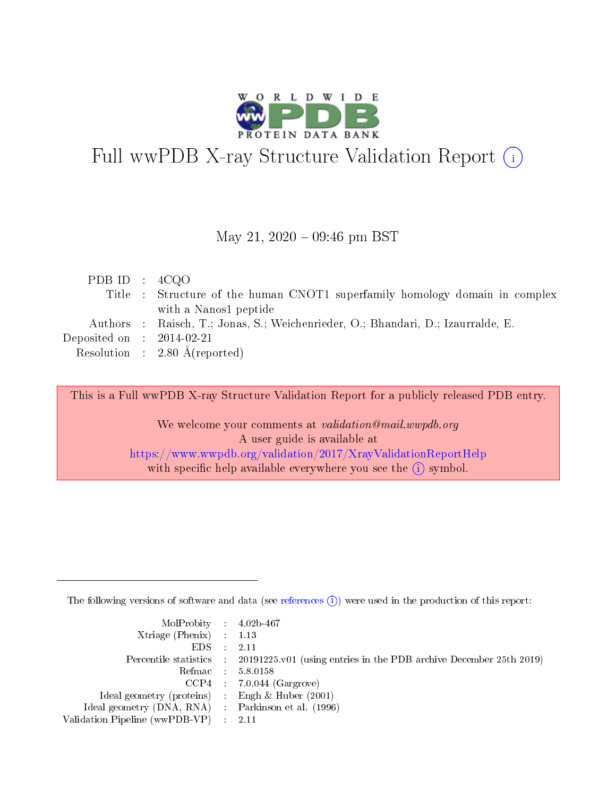

# Full wwPDB X-ray Structure Validation Report (i)

#### May 21,  $2020 - 09:46$  pm BST

| PDB ID : $4CQO$             |                                                                                  |
|-----------------------------|----------------------------------------------------------------------------------|
|                             | Title : Structure of the human CNOT1 superfamily homology domain in complex      |
|                             | with a Nanos1 peptide                                                            |
|                             | Authors : Raisch, T.; Jonas, S.; Weichenrieder, O.; Bhandari, D.; Izaurralde, E. |
| Deposited on : $2014-02-21$ |                                                                                  |
|                             | Resolution : $2.80 \text{ Å}$ (reported)                                         |
|                             |                                                                                  |

This is a Full wwPDB X-ray Structure Validation Report for a publicly released PDB entry.

We welcome your comments at validation@mail.wwpdb.org A user guide is available at <https://www.wwpdb.org/validation/2017/XrayValidationReportHelp> with specific help available everywhere you see the  $(i)$  symbol.

The following versions of software and data (see [references](https://www.wwpdb.org/validation/2017/XrayValidationReportHelp#references)  $(i)$ ) were used in the production of this report:

| MolProbity : 4.02b-467                              |                                                                                            |
|-----------------------------------------------------|--------------------------------------------------------------------------------------------|
| Xtriage (Phenix) $: 1.13$                           |                                                                                            |
| $EDS = 2.11$                                        |                                                                                            |
|                                                     | Percentile statistics : 20191225.v01 (using entries in the PDB archive December 25th 2019) |
|                                                     | Refmac : 5.8.0158                                                                          |
|                                                     | $CCP4$ : 7.0.044 (Gargrove)                                                                |
| Ideal geometry (proteins) : Engh $\&$ Huber (2001)  |                                                                                            |
| Ideal geometry (DNA, RNA) : Parkinson et al. (1996) |                                                                                            |
| Validation Pipeline (wwPDB-VP) : 2.11               |                                                                                            |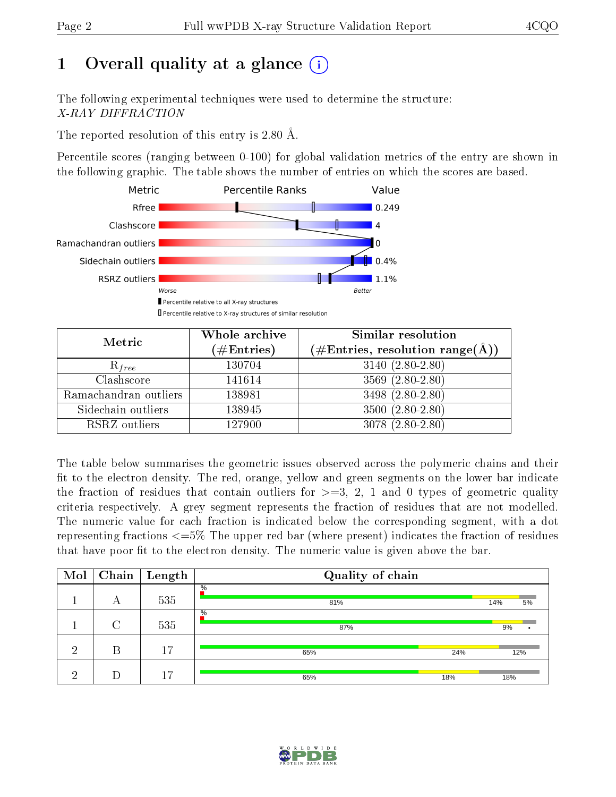# 1 [O](https://www.wwpdb.org/validation/2017/XrayValidationReportHelp#overall_quality)verall quality at a glance  $(i)$

The following experimental techniques were used to determine the structure: X-RAY DIFFRACTION

The reported resolution of this entry is 2.80 Å.

Percentile scores (ranging between 0-100) for global validation metrics of the entry are shown in the following graphic. The table shows the number of entries on which the scores are based.



| Metric                | Whole archive<br>$(\#\mathrm{Entries})$ | Similar resolution<br>$(\#\text{Entries},\,\text{resolution}\,\,\text{range}(\textup{\AA}))$ |  |  |
|-----------------------|-----------------------------------------|----------------------------------------------------------------------------------------------|--|--|
| $R_{free}$            | 130704                                  | $3140(2.80-2.80)$                                                                            |  |  |
| Clashscore            | 141614                                  | $3569(2.80-2.80)$                                                                            |  |  |
| Ramachandran outliers | 138981                                  | 3498 (2.80-2.80)                                                                             |  |  |
| Sidechain outliers    | 138945                                  | $3500(2.80-2.80)$                                                                            |  |  |
| RSRZ outliers         | 127900                                  | $3078(2.80-2.80)$                                                                            |  |  |

The table below summarises the geometric issues observed across the polymeric chains and their fit to the electron density. The red, orange, yellow and green segments on the lower bar indicate the fraction of residues that contain outliers for  $>=3, 2, 1$  and 0 types of geometric quality criteria respectively. A grey segment represents the fraction of residues that are not modelled. The numeric value for each fraction is indicated below the corresponding segment, with a dot representing fractions  $\epsilon=5\%$  The upper red bar (where present) indicates the fraction of residues that have poor fit to the electron density. The numeric value is given above the bar.

| Mol |                    | $\boxed{\text{Chain}}$ Length | Quality of chain |           |
|-----|--------------------|-------------------------------|------------------|-----------|
|     | А                  | 535                           | $\%$<br>81%      | 14%<br>5% |
|     | $\curvearrowright$ | 535                           | $\%$<br>87%      | 9%        |
| ച   | В                  | 17                            | 24%<br>65%       | 12%       |
| ച   |                    | 17                            | 65%<br>18%       | 18%       |

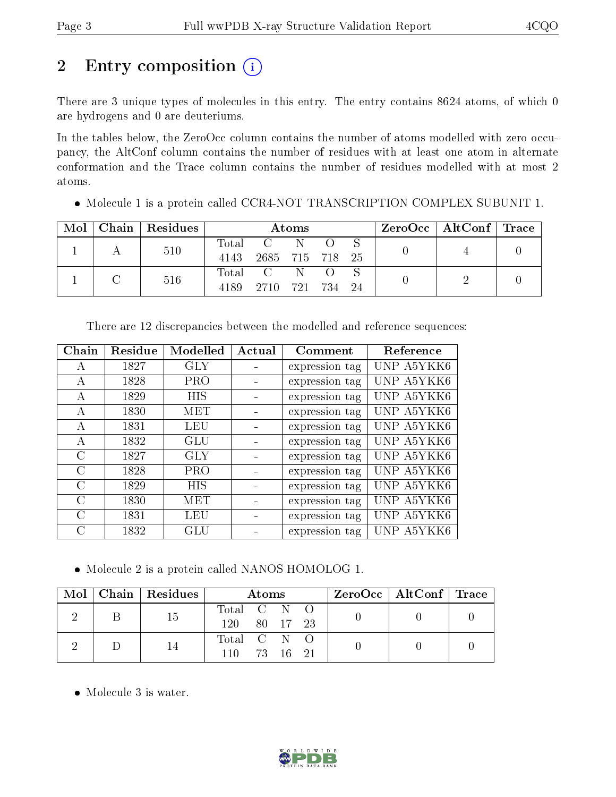# 2 Entry composition (i)

There are 3 unique types of molecules in this entry. The entry contains 8624 atoms, of which 0 are hydrogens and 0 are deuteriums.

In the tables below, the ZeroOcc column contains the number of atoms modelled with zero occupancy, the AltConf column contains the number of residues with at least one atom in alternate conformation and the Trace column contains the number of residues modelled with at most 2 atoms.

| Mol | Chain   Residues | Atoms |                         |    |      | $\text{ZeroOcc} \mid \text{AltConf} \mid \text{Trace}$ |  |  |
|-----|------------------|-------|-------------------------|----|------|--------------------------------------------------------|--|--|
|     | 510              | 4143  | Total C<br>2685 715 718 | N. |      | - 25                                                   |  |  |
|     | 516              | 4189  | Total C N<br>2710 721   |    | -734 |                                                        |  |  |

Molecule 1 is a protein called CCR4-NOT TRANSCRIPTION COMPLEX SUBUNIT 1.

| Chain     | Residue | Modelled   | Actual | Comment        | Reference  |
|-----------|---------|------------|--------|----------------|------------|
| А         | 1827    | <b>GLY</b> |        | expression tag | UNP A5YKK6 |
| А         | 1828    | PRO        |        | expression tag | UNP A5YKK6 |
| А         | 1829    | HIS        |        | expression tag | UNP A5YKK6 |
| А         | 1830    | MET        |        | expression tag | UNP A5YKK6 |
| А         | 1831    | LEU        |        | expression tag | UNP A5YKK6 |
| А         | 1832    | GLU        |        | expression tag | UNP A5YKK6 |
| $\rm C$   | 1827    | <b>GLY</b> |        | expression tag | UNP A5YKK6 |
| C         | 1828    | PRO        |        | expression tag | UNP A5YKK6 |
| C         | 1829    | HIS        |        | expression tag | UNP A5YKK6 |
| C         | 1830    | MET        |        | expression tag | UNP A5YKK6 |
| $\bigcap$ | 1831    | LEU        |        | expression tag | UNP A5YKK6 |
| C         | 1832    | GLU        |        | expression tag | UNP A5YKK6 |

There are 12 discrepancies between the modelled and reference sequences:

Molecule 2 is a protein called NANOS HOMOLOG 1.

|  | $Mol$   Chain   Residues | Atoms       |          |  | $\text{ZeroOcc} \mid \text{AltConf} \mid \text{Trace}$ |  |
|--|--------------------------|-------------|----------|--|--------------------------------------------------------|--|
|  | 15                       | Total C N O |          |  |                                                        |  |
|  |                          | 120.        | 80 17 23 |  |                                                        |  |
|  |                          | Total C N O |          |  |                                                        |  |
|  |                          | 110.        | 73 16 21 |  |                                                        |  |

Molecule 3 is water.

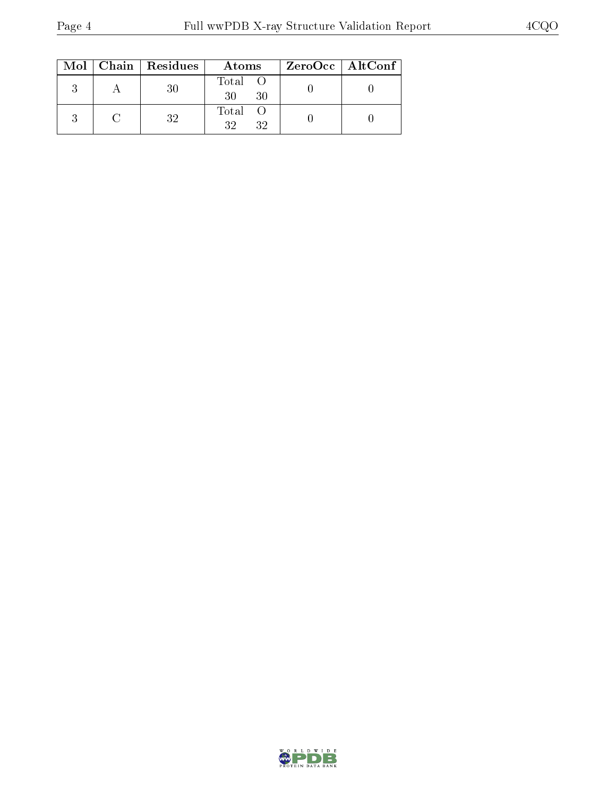|  | $Mol$   Chain   Residues | Atoms               | $ZeroOcc \   \ AltConf \  $ |
|--|--------------------------|---------------------|-----------------------------|
|  | 30                       | Total O<br>30<br>30 |                             |
|  | 32                       | Total O<br>32<br>32 |                             |

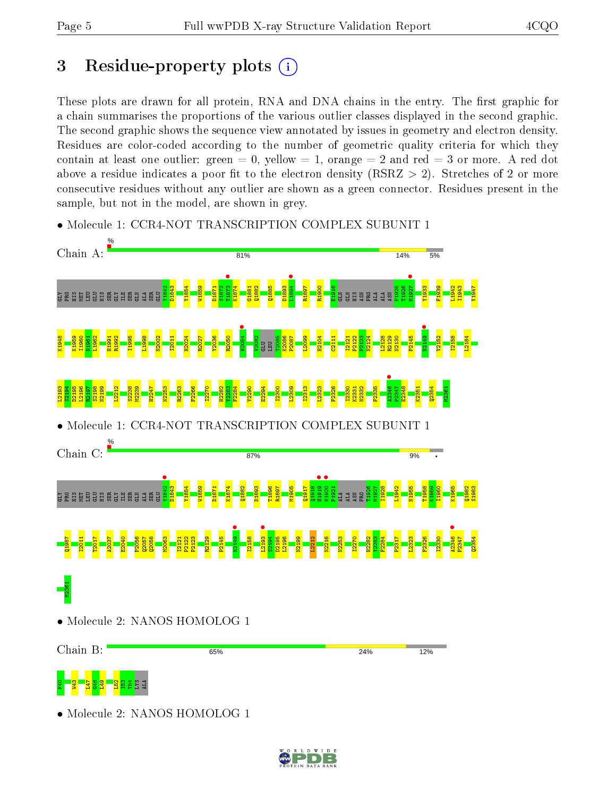# 3 Residue-property plots  $(i)$

These plots are drawn for all protein, RNA and DNA chains in the entry. The first graphic for a chain summarises the proportions of the various outlier classes displayed in the second graphic. The second graphic shows the sequence view annotated by issues in geometry and electron density. Residues are color-coded according to the number of geometric quality criteria for which they contain at least one outlier: green  $= 0$ , yellow  $= 1$ , orange  $= 2$  and red  $= 3$  or more. A red dot above a residue indicates a poor fit to the electron density (RSRZ  $> 2$ ). Stretches of 2 or more consecutive residues without any outlier are shown as a green connector. Residues present in the sample, but not in the model, are shown in grey.



• Molecule 1: CCR4-NOT TRANSCRIPTION COMPLEX SUBUNIT 1

• Molecule 2: NANOS HOMOLOG 1

동 <mark>- 홍 - 홍 3 3</mark> -

 $\frac{52}{2}$ I53 T54 LYS ALA

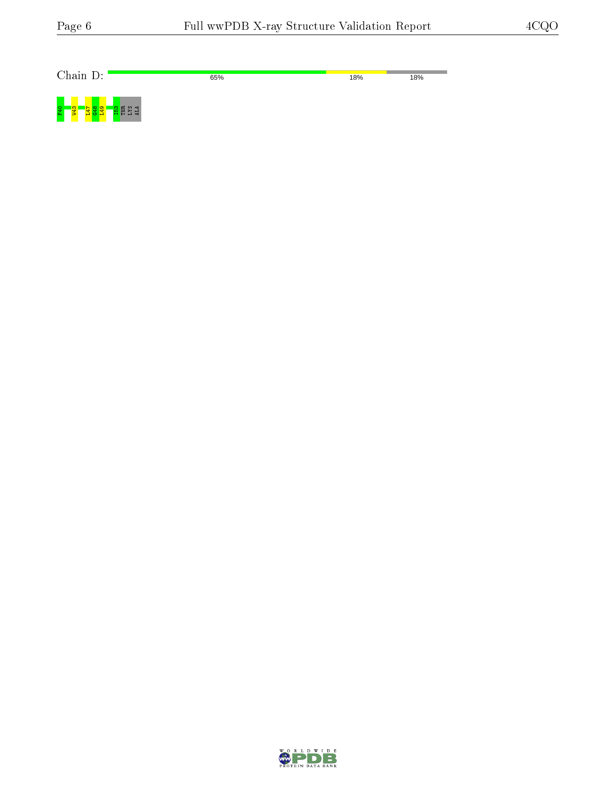۰

Chain D: 65% 18% 18%  $F40$ a<br>Resi<br>R

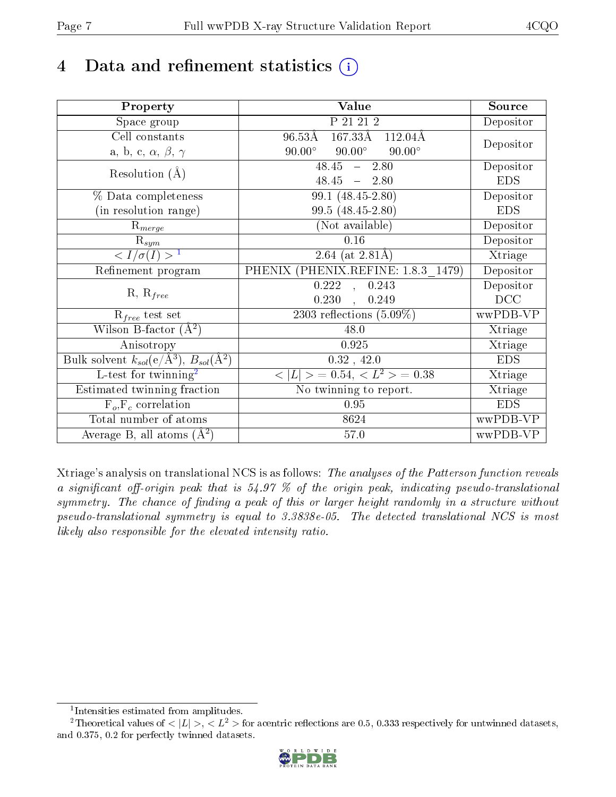# 4 Data and refinement statistics  $(i)$

| Property                                                             | Value                                           | Source     |
|----------------------------------------------------------------------|-------------------------------------------------|------------|
| Space group                                                          | P 21 21 2                                       | Depositor  |
| Cell constants                                                       | $167.33\text{\AA}$ $112.04\text{\AA}$<br>96.53Å | Depositor  |
| a, b, c, $\alpha$ , $\beta$ , $\gamma$                               | $90.00^\circ$<br>$90.00^\circ$<br>$90.00^\circ$ |            |
| Resolution $(\AA)$                                                   | $48.45 -$<br>2.80                               | Depositor  |
|                                                                      | $48.45 - 2.80$                                  | <b>EDS</b> |
| % Data completeness                                                  | $99.1 (48.45 - 2.80)$                           | Depositor  |
| (in resolution range)                                                | $99.5(48.45-2.80)$                              | <b>EDS</b> |
| $R_{merge}$                                                          | (Not available)                                 | Depositor  |
| $\mathrm{R}_{sym}$                                                   | 0.16                                            | Depositor  |
| $\langle I/\sigma(I) \rangle^{-1}$                                   | $2.64$ (at 2.81Å)                               | Xtriage    |
| Refinement program                                                   | PHENIX (PHENIX.REFINE: 1.8.3 1479)              | Depositor  |
|                                                                      | 0.222<br>0.243<br>$\tilde{a}$                   | Depositor  |
| $R, R_{free}$                                                        | 0.230,<br>0.249                                 | DCC        |
| $R_{free}$ test set                                                  | 2303 reflections $(5.09\%)$                     | wwPDB-VP   |
| Wilson B-factor $(A^2)$                                              | 48.0                                            | Xtriage    |
| Anisotropy                                                           | 0.925                                           | Xtriage    |
| Bulk solvent $k_{sol}(e/\mathring{A}^3)$ , $B_{sol}(\mathring{A}^2)$ | 0.32, 42.0                                      | <b>EDS</b> |
| L-test for twinning <sup>2</sup>                                     | $< L >$ = 0.54, $< L2$ = 0.38                   | Xtriage    |
| Estimated twinning fraction                                          | No twinning to report.                          | Xtriage    |
| $F_o, F_c$ correlation                                               | 0.95                                            | <b>EDS</b> |
| Total number of atoms                                                | 8624                                            | wwPDB-VP   |
| Average B, all atoms $(A^2)$                                         | 57.0                                            | wwPDB-VP   |

Xtriage's analysis on translational NCS is as follows: The analyses of the Patterson function reveals a significant off-origin peak that is  $54.97\%$  of the origin peak, indicating pseudo-translational symmetry. The chance of finding a peak of this or larger height randomly in a structure without pseudo-translational symmetry is equal to 3.3838e-05. The detected translational NCS is most likely also responsible for the elevated intensity ratio.

<sup>&</sup>lt;sup>2</sup>Theoretical values of  $\langle |L| \rangle$ ,  $\langle L^2 \rangle$  for acentric reflections are 0.5, 0.333 respectively for untwinned datasets, and 0.375, 0.2 for perfectly twinned datasets.



<span id="page-6-1"></span><span id="page-6-0"></span><sup>1</sup> Intensities estimated from amplitudes.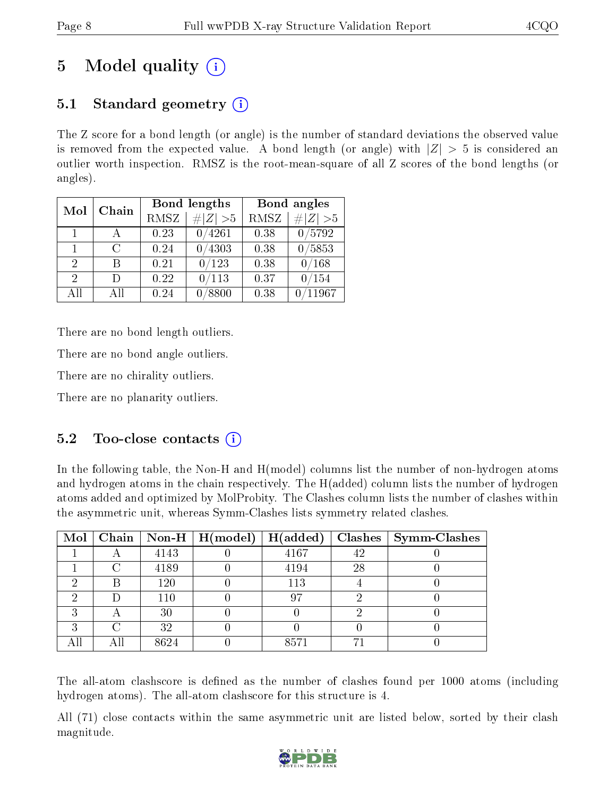# 5 Model quality  $(i)$

## 5.1 Standard geometry  $(i)$

The Z score for a bond length (or angle) is the number of standard deviations the observed value is removed from the expected value. A bond length (or angle) with  $|Z| > 5$  is considered an outlier worth inspection. RMSZ is the root-mean-square of all Z scores of the bond lengths (or angles).

| Chain<br>Mol  |    |      | Bond lengths    | Bond angles |                 |  |
|---------------|----|------|-----------------|-------------|-----------------|--|
|               |    | RMSZ | $\ Z\  > 5$     | RMSZ        | # $ Z  > 5$     |  |
| $\mathbf{1}$  |    | 0.23 | 0/4261          | 0.38        | 0/5792          |  |
|               | C  | 0.24 | $^{\prime}4303$ | 0.38        | $^{\prime}5853$ |  |
| $\mathcal{D}$ | R  | 0.21 | 0/123           | 0.38        | 0/168           |  |
| $\mathcal{D}$ | Ð  | 0.22 | 0/113           | 0.37        | /154            |  |
| АH            | AΠ | 0.24 | 8800            | 0.38        | 11967           |  |

There are no bond length outliers.

There are no bond angle outliers.

There are no chirality outliers.

There are no planarity outliers.

### 5.2 Too-close contacts  $\overline{a}$

In the following table, the Non-H and H(model) columns list the number of non-hydrogen atoms and hydrogen atoms in the chain respectively. The H(added) column lists the number of hydrogen atoms added and optimized by MolProbity. The Clashes column lists the number of clashes within the asymmetric unit, whereas Symm-Clashes lists symmetry related clashes.

|   |   |      | $\text{Mol} \mid \text{Chain} \mid \text{Non-H} \mid \text{H(model)} \mid \text{H(added)}$ |      |    | $\textbf{Class} \mid \textbf{Symm-Class}$ |
|---|---|------|--------------------------------------------------------------------------------------------|------|----|-------------------------------------------|
|   |   | 4143 |                                                                                            | 4167 | 42 |                                           |
|   |   | 4189 |                                                                                            | 4194 | 28 |                                           |
| ച | R | 120  |                                                                                            | 113  |    |                                           |
|   |   | 110  |                                                                                            | 97   |    |                                           |
| ച |   | 30   |                                                                                            |      |    |                                           |
| ົ |   | 32   |                                                                                            |      |    |                                           |
|   |   | 8624 |                                                                                            | 8571 |    |                                           |

The all-atom clashscore is defined as the number of clashes found per 1000 atoms (including hydrogen atoms). The all-atom clashscore for this structure is 4.

All (71) close contacts within the same asymmetric unit are listed below, sorted by their clash magnitude.

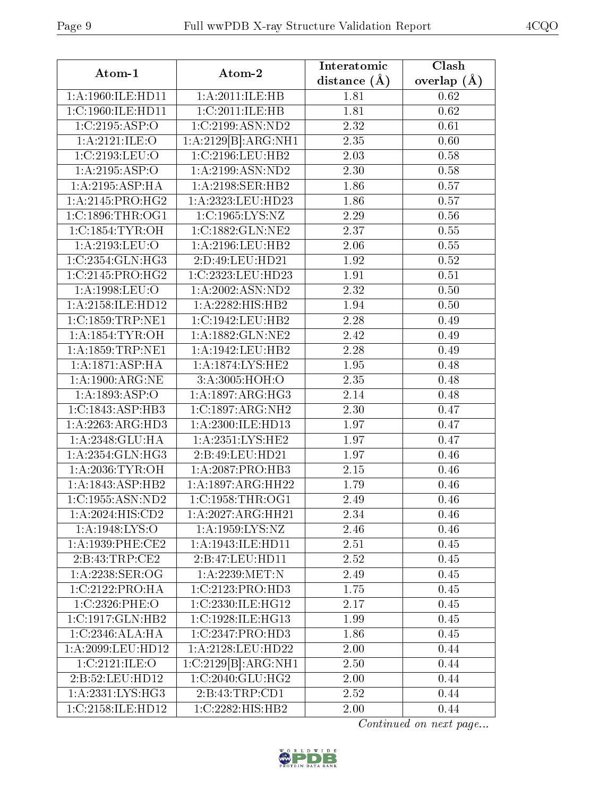| Atom-1                              | Atom-2                         | Interatomic<br>distance $(\AA)$ | Clash<br>overlap $(\AA)$ |  |
|-------------------------------------|--------------------------------|---------------------------------|--------------------------|--|
| 1:A:1960:ILE:HD11                   | 1: A:2011: ILE: HB             | 1.81                            | 0.62                     |  |
| 1:C:1960:II.E:HDI1                  | 1:C:2011:ILE:HB                | 1.81                            | 0.62                     |  |
| 1:C:2195:ASP:O                      | 1:C:2199:ASN:ND2               | 2.32                            | 0.61                     |  |
| 1:A:2121:ILE:O                      | 1:A:2129[B]:ARG:NH1            | 2.35                            | 0.60                     |  |
| 1:C:2193:LEU:O                      | 1:C:2196:LEU:HB2               | 2.03                            | 0.58                     |  |
| 1:A:2195:ASP:O                      | 1: A:2199: ASN:ND2             | 2.30                            | 0.58                     |  |
| 1: A:2195: ASP:HA                   | 1:A:2198:SER:HB2               | 1.86                            | 0.57                     |  |
| 1:A:2145:PRO:HG2                    | 1:A:2323:LEU:HD23              | 1.86                            | 0.57                     |  |
| 1:C:1896:THR:OG1                    | 1:C:1965:LYS:NZ                | 2.29                            | 0.56                     |  |
| 1:C:1854:TYR:OH                     | 1:C:1882:GLN:NE2               | 2.37                            | 0.55                     |  |
| 1:A:2193:LEU:O                      | 1:A:2196:LEU:HB2               | 2.06                            | 0.55                     |  |
| 1:C:2354:GLN:HG3                    | 2:D:49:LEU:HD21                | 1.92                            | 0.52                     |  |
| 1:C:2145:PRO:HG2                    | 1:C:2323:LEU:HD23              | 1.91                            | 0.51                     |  |
| 1:A:1998:LEU:O                      | 1:A:2002:ASN:ND2               | 2.32                            | $0.50\,$                 |  |
| 1: A:2158: ILE: HD12                | 1:A:2282:HIS:HB2               | 1.94                            | 0.50                     |  |
| 1:C:1859:TRP:NE1                    | 1:C:1942:LEU:HB2               | 2.28                            | 0.49                     |  |
| 1: A: 1854: TYR: OH                 | 1: A: 1882: GLN: NE2           | 2.42                            | 0.49                     |  |
| $1:$ A:1859:TRP:NE1                 | 1:A:1942:LEU:HB2               | 2.28                            | 0.49                     |  |
| 1:A:1871:ASP:HA                     | 1:A:1874:LYS:HE2               | 1.95                            | 0.48                     |  |
| $1:A:1900:\overline{\text{ARG:NE}}$ | 3:A:3005:HOH:O                 | 2.35                            | 0.48                     |  |
| 1: A: 1893: ASP:O                   | 1: A: 1897: ARG: HG3           | 2.14                            | 0.48                     |  |
| 1:C:1843:ASP:HB3                    | 1:C:1897:ARG:NH2               | 2.30                            | 0.47                     |  |
| $1:A:2263:A\overline{RG:HD3}$       | 1:A:2300:ILE:HD13              | 1.97                            | 0.47                     |  |
| 1: A:2348: GLU:HA                   | 1: A: 2351: LYS: HE2           | 1.97                            | 0.47                     |  |
| 1:A:2354:GLN:HG3                    | 2:B:49:LEU:HD21                | 1.97                            | 0.46                     |  |
| 1: A:2036:TYR:OH                    | 1:A:2087:PRO:HB3               | 2.15                            | 0.46                     |  |
| 1:A:1843:ASP:HB2                    | 1:A:1897:ARG:HH22              | 1.79                            | 0.46                     |  |
| 1:C:1955:ASN:ND2                    | 1:C:1958:THR:OG1               | 2.49                            | 0.46                     |  |
| 1:A:2024:HIS:CD2                    | 1:A:2027:ARG:HH21              | 2.34                            | 0.46                     |  |
| 1:A:1948:LYS:O                      | 1:A:1959:LYS:NZ                | 2.46                            | 0.46                     |  |
| 1:A:1939:PHE:CE2                    | 1:A:1943:ILE:HD11              | 2.51                            | 0.45                     |  |
| 2:B:43:TRP:CE2                      | 2:B:47:LEU:HD11                | 2.52                            | 0.45                     |  |
| $1: A:2238:$ SER:OG                 | 1:A:2239:MET:N                 | 2.49                            | 0.45                     |  |
| 1:C:2122:PRO:HA                     | 1:C:2123:PRO:HD3               | 1.75                            | 0.45                     |  |
| 1:C:2326:PHE:O                      | 1:C:2330:ILE:HG12              | 2.17                            | 0.45                     |  |
| 1:C:1917:GLN:HB2                    | $1:C:1928:ILE:H\overline{G13}$ | 1.99                            | 0.45                     |  |
| 1:C:2346:ALA:HA                     | 1:C:2347:PRO:HD3               | 1.86                            | 0.45                     |  |
| 1:A:2099:LEU:HD12                   | 1:A:2128:LEU:HD22              | 2.00                            | 0.44                     |  |
| 1:C:2121:ILE:O                      | 1:C:2129[B]:ARG:NH1            | 2.50                            | 0.44                     |  |
| 2: B:52: LEU: HD12                  | 1:C:2040:GLU:HG2               | 2.00                            | 0.44                     |  |
| 1:A:2331:LYS:HG3                    | 2:B:43:TRP:CD1                 | 2.52                            | 0.44                     |  |
| 1:C:2158:ILE:HD12                   | 1:C:2282:HIS:HB2               | 2.00                            | 0.44                     |  |

Continued on next page...

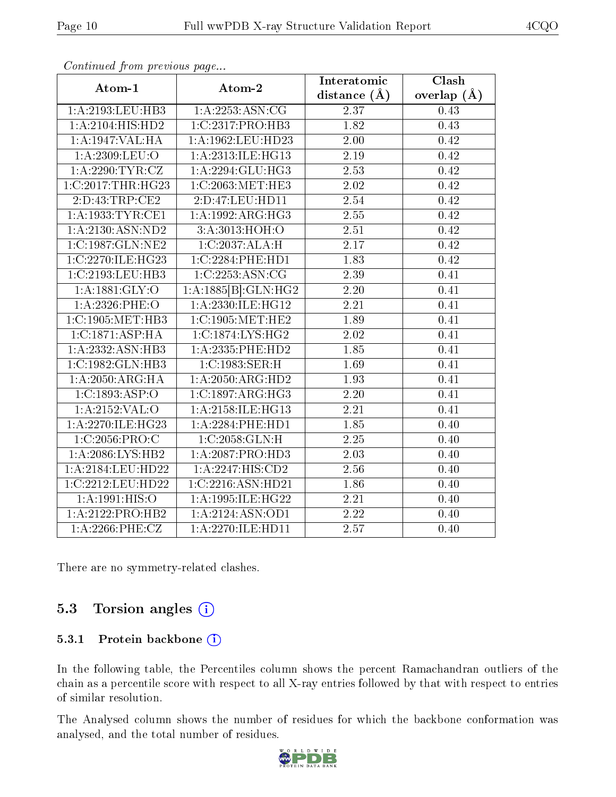| Atom-1                 | Atom-2               | Interatomic       | Clash           |
|------------------------|----------------------|-------------------|-----------------|
|                        |                      | distance $(\AA)$  | overlap $(\AA)$ |
| 1:A:2193:LEU:HB3       | 1: A: 2253: ASN: CG  | 2.37              | 0.43            |
| 1: A:2104: HIS: HD2    | 1:C:2317:PRO:HB3     | 1.82              | 0.43            |
| 1:A:1947:VAL:HA        | 1:A:1962:LEU:HD23    | 2.00              | 0.42            |
| 1:A:2309:LEU:O         | 1:A:2313:ILE:HG13    | 2.19              | 0.42            |
| 1: A:2290: TYR: CZ     | 1:A:2294:GLU:HG3     | 2.53              | 0.42            |
| $1:C:2017$ : THR: HG23 | 1:C:2063:MET:HE3     | <b>2.02</b>       | 0.42            |
| 2:D:43:TRP:CE2         | 2: D: 47: LEU: HD11  | 2.54              | 0.42            |
| 1: A: 1933: TYR: CE1   | 1: A: 1992: ARG: HG3 | 2.55              | 0.42            |
| 1: A:2130: ASN: ND2    | 3:A:3013:HOH:O       | $2.51\,$          | 0.42            |
| 1:C:1987:GLN:NE2       | 1:C:2037:ALA:H       | 2.17              | 0.42            |
| 1:C:2270:ILE:HG23      | 1:C:2284:PHE:HD1     | 1.83              | 0.42            |
| 1:C:2193:LEU:HB3       | 1:C:2253:ASN:CG      | 2.39              | 0.41            |
| 1:A:1881:GLY:O         | 1:A:1885[B]:GLN:HG2  | 2.20              | 0.41            |
| $1: A: 2326:$ PHE:O    | 1:A:2330:ILE:HG12    | 2.21              | 0.41            |
| 1:C:1905:MET:HB3       | 1:C:1905:MET:HE2     | 1.89              | 0.41            |
| 1:C:1871:ASP:HA        | 1:C:1874:LYS:HG2     | 2.02              | 0.41            |
| 1:A:2332:ASN:HB3       | $1:$ A:2335:PHE:HD2  | 1.85              | 0.41            |
| 1:C:1982:GLN:HB3       | 1:C:1983:SER:H       | 1.69              | 0.41            |
| 1:A:2050:ARG:HA        | 1:A:2050:ARG:HD2     | 1.93              | 0.41            |
| 1:C:1893:ASP:O         | 1:C:1897:ARG:HG3     | 2.20              | 0.41            |
| 1:A:2152:VAL:O         | 1:A:2158:ILE:HG13    | $\overline{2.21}$ | 0.41            |
| 1:A:2270:ILE:HG23      | 1:A:2284:PHE:HD1     | 1.85              | 0.40            |
| 1:C:2056:PRO:C         | 1:C:2058:GLN:H       | 2.25              | 0.40            |
| 1: A:2086:LYS:HB2      | 1:A:2087:PRO:HD3     | 2.03              | 0.40            |
| 1:A:2184:LEU:HD22      | 1:A:2247:HIS:CD2     | 2.56              | 0.40            |
| 1:C:2212:LEU:HD22      | 1:C:2216:ASN:HD21    | 1.86              | 0.40            |
| 1:A:1991:HIS:O         | 1:A:1995:ILE:HG22    | 2.21              | 0.40            |
| 1:A:2122:PRO:HB2       | 1:A:2124:ASN:OD1     | 2.22              | 0.40            |
| $1: A:2266:$ PHE:CZ    | 1:A:2270:ILE:HD11    | 2.57              | 0.40            |

Continued from previous page...

There are no symmetry-related clashes.

### 5.3 Torsion angles (i)

#### 5.3.1 Protein backbone (i)

In the following table, the Percentiles column shows the percent Ramachandran outliers of the chain as a percentile score with respect to all X-ray entries followed by that with respect to entries of similar resolution.

The Analysed column shows the number of residues for which the backbone conformation was analysed, and the total number of residues.



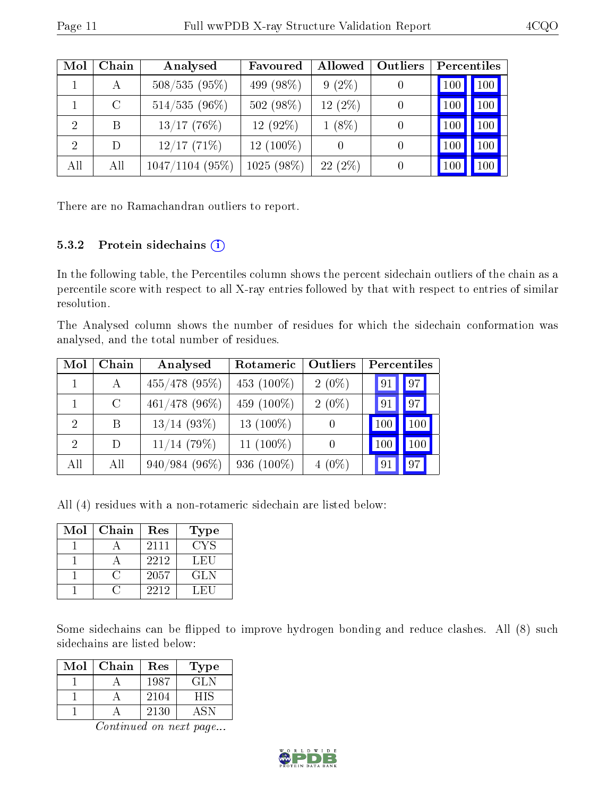| Mol | Chain        | Analysed          | Favoured     | Allowed          | Outliers | Percentiles |     |
|-----|--------------|-------------------|--------------|------------------|----------|-------------|-----|
|     | $\mathbf{A}$ | $508/535(95\%)$   | 499 (98%)    | $9(2\%)$         |          | 100         | 100 |
|     | $\rm C$      | $514/535(96\%)$   | 502 (98%)    | 12 (2%)          |          | 100         | 100 |
|     | В            | $13/17$ (76%)     | 12 (92%)     | $1(8\%)$         |          | 100         | 100 |
| 2   | D            | 12/17(71%)        | $12(100\%)$  | $\left( \right)$ |          | 100         | 100 |
| All | All          | $1047/1104$ (95%) | $1025(98\%)$ | $22(2\%)$        |          | 100         | 100 |

There are no Ramachandran outliers to report.

#### 5.3.2 Protein sidechains (i)

In the following table, the Percentiles column shows the percent sidechain outliers of the chain as a percentile score with respect to all X-ray entries followed by that with respect to entries of similar resolution.

The Analysed column shows the number of residues for which the sidechain conformation was analysed, and the total number of residues.

| Mol                         | Chain   | Analysed        | Rotameric     | Outliers | Percentiles |                 |
|-----------------------------|---------|-----------------|---------------|----------|-------------|-----------------|
|                             | A       | $455/478$ (95%) | 453 $(100\%)$ | $2(0\%)$ | 91          | 97              |
|                             | $\rm C$ | $461/478$ (96%) | 459 (100\%)   | $2(0\%)$ | 91          | 97 <sup>°</sup> |
| $\mathcal{D}$               | B       | $13/14$ (93\%)  | 13 $(100\%)$  |          | 100         | 100             |
| $\mathcal{D}_{\mathcal{A}}$ | $\Box$  | $11/14$ (79%)   | 11 $(100\%)$  |          | 100         | 100             |
| All                         | All     | 940/984 (96%)   | 936 $(100\%)$ | $4(0\%)$ | 91          | 97              |

All (4) residues with a non-rotameric sidechain are listed below:

| Mol | Chain | Res  | Type   |
|-----|-------|------|--------|
|     |       | 2111 | CYS    |
|     |       | 2212 | LEU    |
|     |       | 2057 | GLN    |
|     |       | 2212 | - HI 1 |

Some sidechains can be flipped to improve hydrogen bonding and reduce clashes. All (8) such sidechains are listed below:

| Mol | Chain | Res  | Type       |
|-----|-------|------|------------|
|     |       | 1987 | <b>GLN</b> |
|     |       | 2104 | HIS.       |
|     |       | 2130 |            |

Continued on next page...

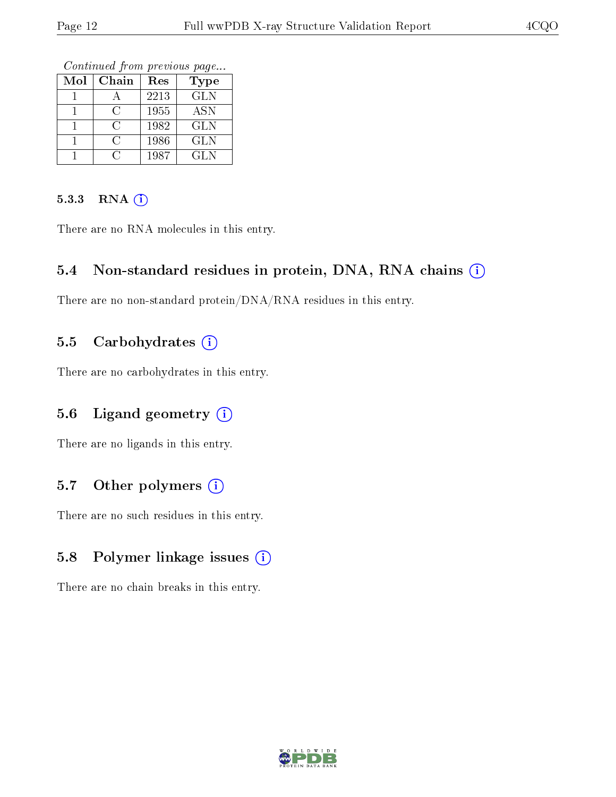Continued from previous page...

| $\operatorname{Mol}$ | Chain      | Res  | Type       |
|----------------------|------------|------|------------|
|                      |            | 2213 | <b>GLN</b> |
|                      | €.         | 1955 | <b>ASN</b> |
|                      | $\epsilon$ | 1982 | GLN        |
|                      | ( )        | 1986 | GLN        |
|                      |            | 1987 | GLN        |

#### 5.3.3 RNA (i)

There are no RNA molecules in this entry.

#### 5.4 Non-standard residues in protein, DNA, RNA chains (i)

There are no non-standard protein/DNA/RNA residues in this entry.

### 5.5 Carbohydrates  $(i)$

There are no carbohydrates in this entry.

### 5.6 Ligand geometry  $(i)$

There are no ligands in this entry.

### 5.7 [O](https://www.wwpdb.org/validation/2017/XrayValidationReportHelp#nonstandard_residues_and_ligands)ther polymers  $(i)$

There are no such residues in this entry.

### 5.8 Polymer linkage issues  $(i)$

There are no chain breaks in this entry.

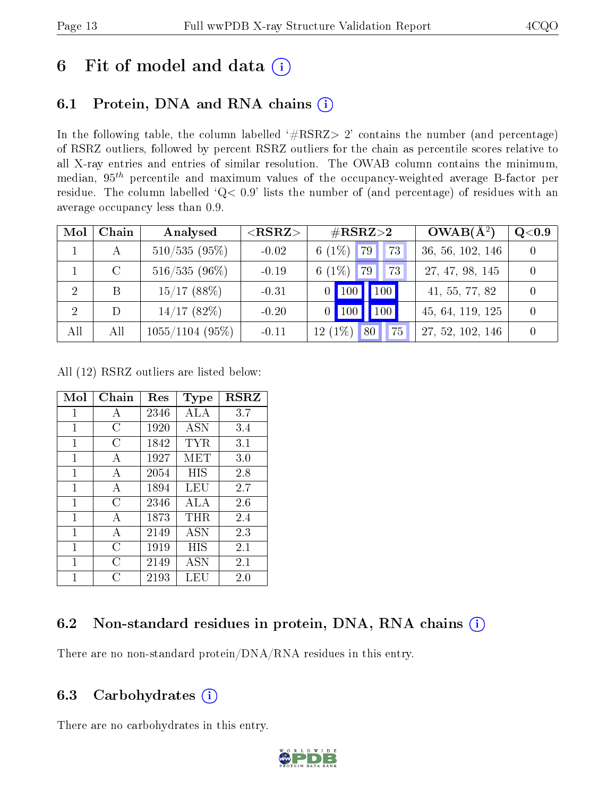# 6 Fit of model and data  $(i)$

## 6.1 Protein, DNA and RNA chains  $(i)$

In the following table, the column labelled  $#RSRZ> 2'$  contains the number (and percentage) of RSRZ outliers, followed by percent RSRZ outliers for the chain as percentile scores relative to all X-ray entries and entries of similar resolution. The OWAB column contains the minimum, median,  $95<sup>th</sup>$  percentile and maximum values of the occupancy-weighted average B-factor per residue. The column labelled ' $Q< 0.9$ ' lists the number of (and percentage) of residues with an average occupancy less than 0.9.

| Mol            | Chain | Analysed          | $<$ RSRZ $>$ | $\#\text{RSRZ}{>}2$              | $OWAB(A^2)$      | Q <sub>0.9</sub> |
|----------------|-------|-------------------|--------------|----------------------------------|------------------|------------------|
|                |       | $510/535(95\%)$   | $-0.02$      | 6 $(1\%)$<br>79<br>73            | 36, 56, 102, 146 |                  |
|                | C     | $516/535(96\%)$   | $-0.19$      | 6 $(1%)$<br>73<br>79             | 27, 47, 98, 145  |                  |
| 2              | В     | 15/17(88%)        | $-0.31$      | 100<br>100                       | 41, 55, 77, 82   |                  |
| $\overline{2}$ |       | 14/17(82%)        | $-0.20$      | 100<br>-00                       | 45, 64, 119, 125 |                  |
| All            | All   | $1055/1104$ (95%) | $-0.11$      | 12 (1%)<br>75 <sub>1</sub><br>80 | 27, 52, 102, 146 |                  |

All (12) RSRZ outliers are listed below:

| Mol          | $Chain$ | Res  | Type       | <b>RSRZ</b> |
|--------------|---------|------|------------|-------------|
| $\mathbf{1}$ | А       | 2346 | ALA        | 3.7         |
| 1            | C       | 1920 | <b>ASN</b> | 3.4         |
| 1            | C       | 1842 | TYR        | 3.1         |
| 1            | A       | 1927 | MET        | 3.0         |
| 1            | A       | 2054 | HIS        | 2.8         |
| 1            | А       | 1894 | LEU        | 2.7         |
| $\mathbf{1}$ | С       | 2346 | ALA        | 2.6         |
| $\mathbf{1}$ | А       | 1873 | THR        | 2.4         |
| 1            | А       | 2149 | ASN        | 2.3         |
| 1            | C       | 1919 | НIS        | 2.1         |
| 1            | C       | 2149 | <b>ASN</b> | 2.1         |
| 1            | ( )     | 2193 | LEU        | 2.0         |

### 6.2 Non-standard residues in protein, DNA, RNA chains  $(i)$

There are no non-standard protein/DNA/RNA residues in this entry.

### 6.3 Carbohydrates  $(i)$

There are no carbohydrates in this entry.